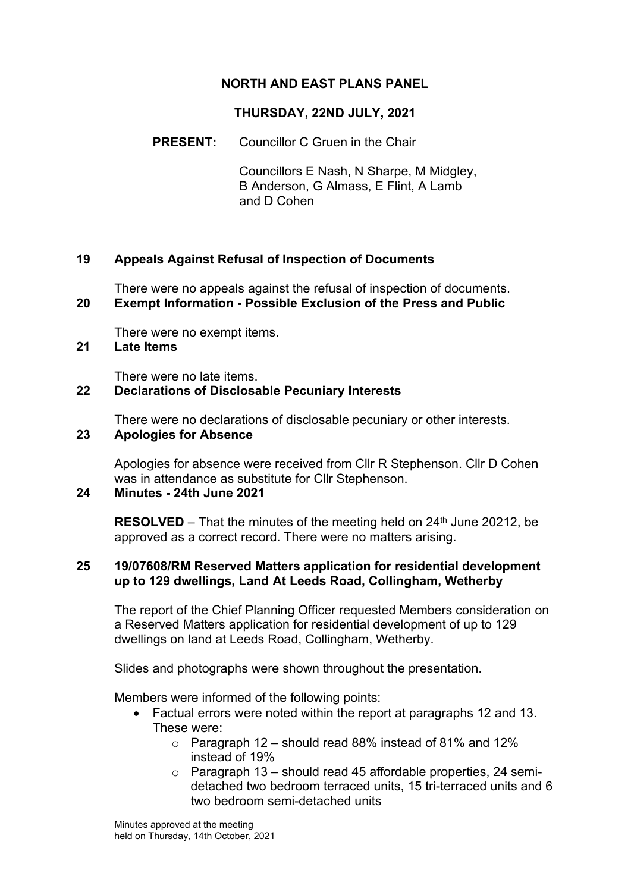# **NORTH AND EAST PLANS PANEL**

## **THURSDAY, 22ND JULY, 2021**

## **PRESENT:** Councillor C Gruen in the Chair

Councillors E Nash, N Sharpe, M Midgley, B Anderson, G Almass, E Flint, A Lamb and D Cohen

## **19 Appeals Against Refusal of Inspection of Documents**

There were no appeals against the refusal of inspection of documents. **20 Exempt Information - Possible Exclusion of the Press and Public**

There were no exempt items.

## **21 Late Items**

There were no late items.

### **22 Declarations of Disclosable Pecuniary Interests**

There were no declarations of disclosable pecuniary or other interests.

## **23 Apologies for Absence**

Apologies for absence were received from Cllr R Stephenson. Cllr D Cohen was in attendance as substitute for Cllr Stephenson.

## **24 Minutes - 24th June 2021**

**RESOLVED** – That the minutes of the meeting held on 24<sup>th</sup> June 20212, be approved as a correct record. There were no matters arising.

#### **25 19/07608/RM Reserved Matters application for residential development up to 129 dwellings, Land At Leeds Road, Collingham, Wetherby**

The report of the Chief Planning Officer requested Members consideration on a Reserved Matters application for residential development of up to 129 dwellings on land at Leeds Road, Collingham, Wetherby.

Slides and photographs were shown throughout the presentation.

Members were informed of the following points:

- Factual errors were noted within the report at paragraphs 12 and 13. These were:
	- $\circ$  Paragraph 12 should read 88% instead of 81% and 12% instead of 19%
	- $\circ$  Paragraph 13 should read 45 affordable properties, 24 semidetached two bedroom terraced units, 15 tri-terraced units and 6 two bedroom semi-detached units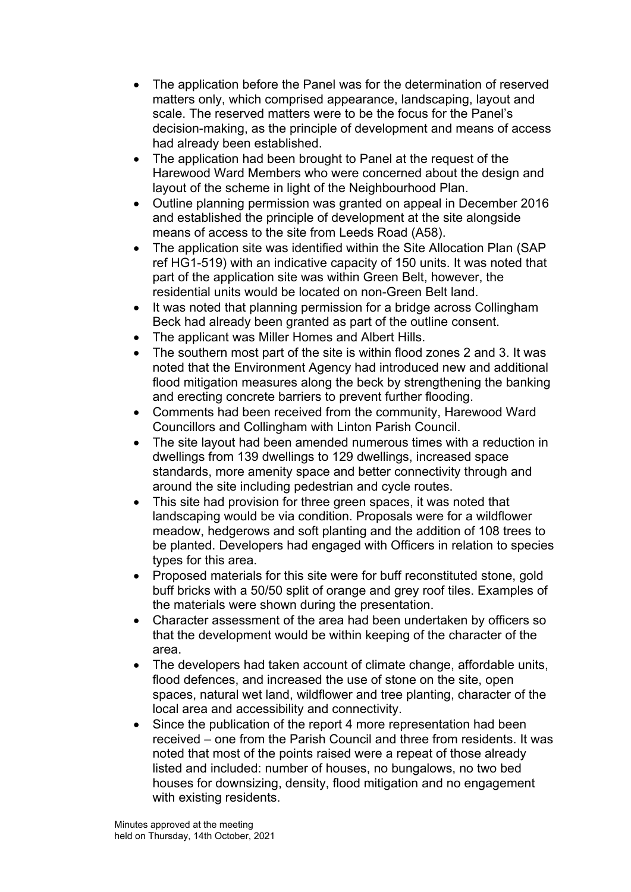- The application before the Panel was for the determination of reserved matters only, which comprised appearance, landscaping, layout and scale. The reserved matters were to be the focus for the Panel's decision-making, as the principle of development and means of access had already been established.
- The application had been brought to Panel at the request of the Harewood Ward Members who were concerned about the design and layout of the scheme in light of the Neighbourhood Plan.
- Outline planning permission was granted on appeal in December 2016 and established the principle of development at the site alongside means of access to the site from Leeds Road (A58).
- The application site was identified within the Site Allocation Plan (SAP ref HG1-519) with an indicative capacity of 150 units. It was noted that part of the application site was within Green Belt, however, the residential units would be located on non-Green Belt land.
- It was noted that planning permission for a bridge across Collingham Beck had already been granted as part of the outline consent.
- The applicant was Miller Homes and Albert Hills.
- The southern most part of the site is within flood zones 2 and 3. It was noted that the Environment Agency had introduced new and additional flood mitigation measures along the beck by strengthening the banking and erecting concrete barriers to prevent further flooding.
- Comments had been received from the community, Harewood Ward Councillors and Collingham with Linton Parish Council.
- The site layout had been amended numerous times with a reduction in dwellings from 139 dwellings to 129 dwellings, increased space standards, more amenity space and better connectivity through and around the site including pedestrian and cycle routes.
- This site had provision for three green spaces, it was noted that landscaping would be via condition. Proposals were for a wildflower meadow, hedgerows and soft planting and the addition of 108 trees to be planted. Developers had engaged with Officers in relation to species types for this area.
- Proposed materials for this site were for buff reconstituted stone, gold buff bricks with a 50/50 split of orange and grey roof tiles. Examples of the materials were shown during the presentation.
- Character assessment of the area had been undertaken by officers so that the development would be within keeping of the character of the area.
- The developers had taken account of climate change, affordable units, flood defences, and increased the use of stone on the site, open spaces, natural wet land, wildflower and tree planting, character of the local area and accessibility and connectivity.
- Since the publication of the report 4 more representation had been received – one from the Parish Council and three from residents. It was noted that most of the points raised were a repeat of those already listed and included: number of houses, no bungalows, no two bed houses for downsizing, density, flood mitigation and no engagement with existing residents.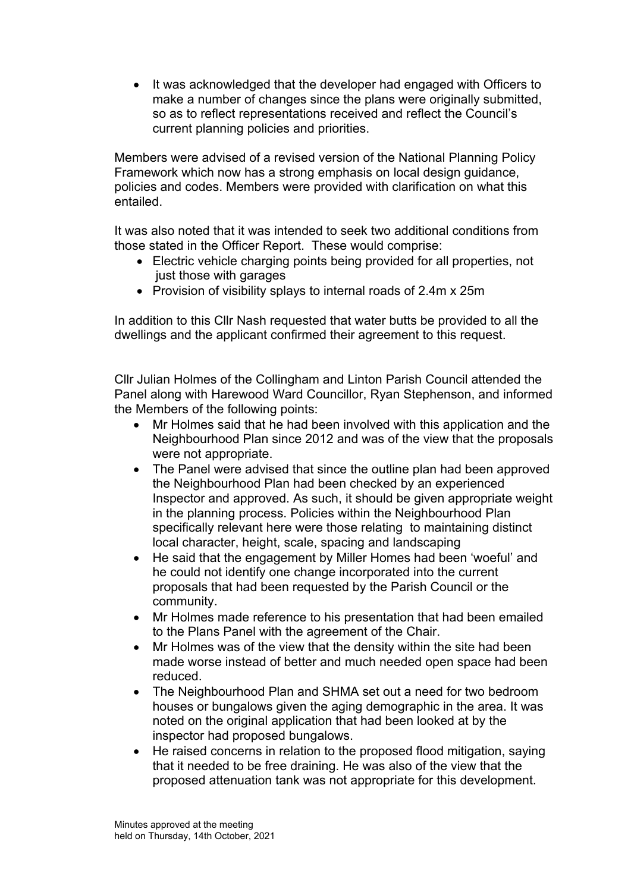• It was acknowledged that the developer had engaged with Officers to make a number of changes since the plans were originally submitted, so as to reflect representations received and reflect the Council's current planning policies and priorities.

Members were advised of a revised version of the National Planning Policy Framework which now has a strong emphasis on local design guidance, policies and codes. Members were provided with clarification on what this entailed.

It was also noted that it was intended to seek two additional conditions from those stated in the Officer Report. These would comprise:

- Electric vehicle charging points being provided for all properties, not just those with garages
- Provision of visibility splays to internal roads of 2.4m x 25m

In addition to this Cllr Nash requested that water butts be provided to all the dwellings and the applicant confirmed their agreement to this request.

Cllr Julian Holmes of the Collingham and Linton Parish Council attended the Panel along with Harewood Ward Councillor, Ryan Stephenson, and informed the Members of the following points:

- Mr Holmes said that he had been involved with this application and the Neighbourhood Plan since 2012 and was of the view that the proposals were not appropriate.
- The Panel were advised that since the outline plan had been approved the Neighbourhood Plan had been checked by an experienced Inspector and approved. As such, it should be given appropriate weight in the planning process. Policies within the Neighbourhood Plan specifically relevant here were those relating to maintaining distinct local character, height, scale, spacing and landscaping
- He said that the engagement by Miller Homes had been 'woeful' and he could not identify one change incorporated into the current proposals that had been requested by the Parish Council or the community.
- Mr Holmes made reference to his presentation that had been emailed to the Plans Panel with the agreement of the Chair.
- Mr Holmes was of the view that the density within the site had been made worse instead of better and much needed open space had been reduced.
- The Neighbourhood Plan and SHMA set out a need for two bedroom houses or bungalows given the aging demographic in the area. It was noted on the original application that had been looked at by the inspector had proposed bungalows.
- He raised concerns in relation to the proposed flood mitigation, saying that it needed to be free draining. He was also of the view that the proposed attenuation tank was not appropriate for this development.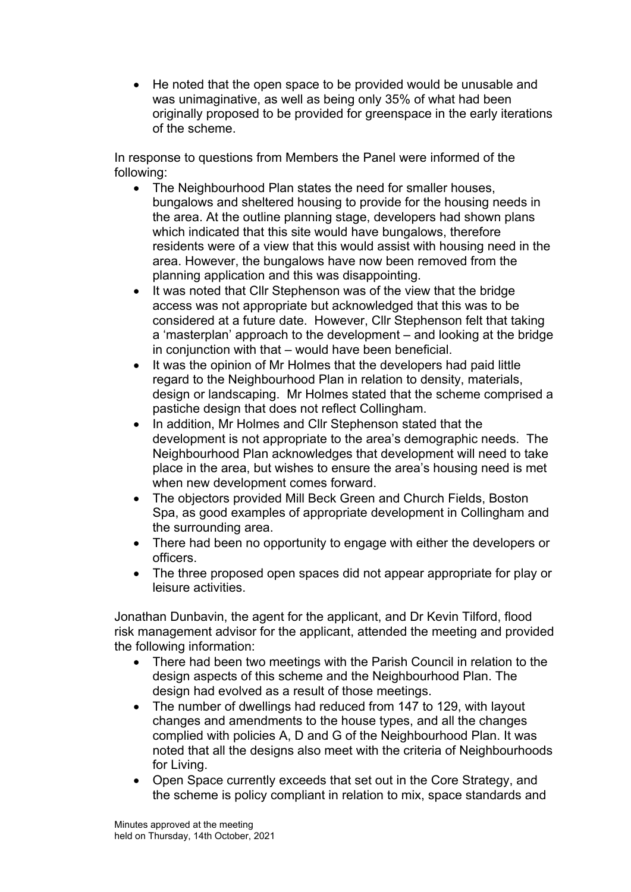• He noted that the open space to be provided would be unusable and was unimaginative, as well as being only 35% of what had been originally proposed to be provided for greenspace in the early iterations of the scheme.

In response to questions from Members the Panel were informed of the following:

- The Neighbourhood Plan states the need for smaller houses, bungalows and sheltered housing to provide for the housing needs in the area. At the outline planning stage, developers had shown plans which indicated that this site would have bungalows, therefore residents were of a view that this would assist with housing need in the area. However, the bungalows have now been removed from the planning application and this was disappointing.
- It was noted that CIIr Stephenson was of the view that the bridge access was not appropriate but acknowledged that this was to be considered at a future date. However, Cllr Stephenson felt that taking a 'masterplan' approach to the development – and looking at the bridge in conjunction with that – would have been beneficial.
- It was the opinion of Mr Holmes that the developers had paid little regard to the Neighbourhood Plan in relation to density, materials, design or landscaping. Mr Holmes stated that the scheme comprised a pastiche design that does not reflect Collingham.
- In addition, Mr Holmes and Cllr Stephenson stated that the development is not appropriate to the area's demographic needs. The Neighbourhood Plan acknowledges that development will need to take place in the area, but wishes to ensure the area's housing need is met when new development comes forward.
- The objectors provided Mill Beck Green and Church Fields, Boston Spa, as good examples of appropriate development in Collingham and the surrounding area.
- There had been no opportunity to engage with either the developers or officers.
- The three proposed open spaces did not appear appropriate for play or leisure activities.

Jonathan Dunbavin, the agent for the applicant, and Dr Kevin Tilford, flood risk management advisor for the applicant, attended the meeting and provided the following information:

- There had been two meetings with the Parish Council in relation to the design aspects of this scheme and the Neighbourhood Plan. The design had evolved as a result of those meetings.
- The number of dwellings had reduced from 147 to 129, with layout changes and amendments to the house types, and all the changes complied with policies A, D and G of the Neighbourhood Plan. It was noted that all the designs also meet with the criteria of Neighbourhoods for Living.
- Open Space currently exceeds that set out in the Core Strategy, and the scheme is policy compliant in relation to mix, space standards and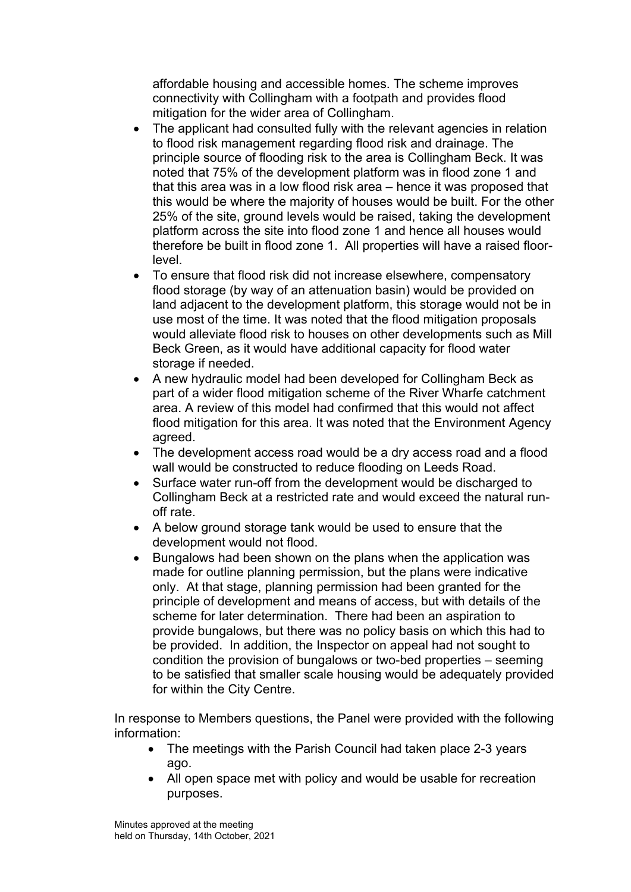affordable housing and accessible homes. The scheme improves connectivity with Collingham with a footpath and provides flood mitigation for the wider area of Collingham.

- The applicant had consulted fully with the relevant agencies in relation to flood risk management regarding flood risk and drainage. The principle source of flooding risk to the area is Collingham Beck. It was noted that 75% of the development platform was in flood zone 1 and that this area was in a low flood risk area – hence it was proposed that this would be where the majority of houses would be built. For the other 25% of the site, ground levels would be raised, taking the development platform across the site into flood zone 1 and hence all houses would therefore be built in flood zone 1. All properties will have a raised floorlevel.
- To ensure that flood risk did not increase elsewhere, compensatory flood storage (by way of an attenuation basin) would be provided on land adjacent to the development platform, this storage would not be in use most of the time. It was noted that the flood mitigation proposals would alleviate flood risk to houses on other developments such as Mill Beck Green, as it would have additional capacity for flood water storage if needed.
- A new hydraulic model had been developed for Collingham Beck as part of a wider flood mitigation scheme of the River Wharfe catchment area. A review of this model had confirmed that this would not affect flood mitigation for this area. It was noted that the Environment Agency agreed.
- The development access road would be a dry access road and a flood wall would be constructed to reduce flooding on Leeds Road.
- Surface water run-off from the development would be discharged to Collingham Beck at a restricted rate and would exceed the natural runoff rate.
- A below ground storage tank would be used to ensure that the development would not flood.
- Bungalows had been shown on the plans when the application was made for outline planning permission, but the plans were indicative only. At that stage, planning permission had been granted for the principle of development and means of access, but with details of the scheme for later determination. There had been an aspiration to provide bungalows, but there was no policy basis on which this had to be provided. In addition, the Inspector on appeal had not sought to condition the provision of bungalows or two-bed properties – seeming to be satisfied that smaller scale housing would be adequately provided for within the City Centre.

In response to Members questions, the Panel were provided with the following information:

- The meetings with the Parish Council had taken place 2-3 years ago.
- All open space met with policy and would be usable for recreation purposes.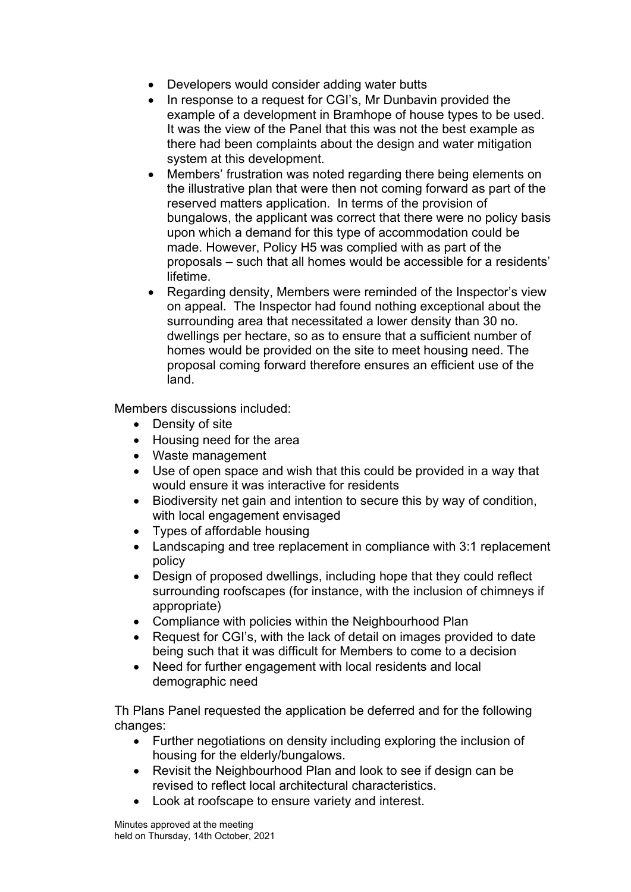- Developers would consider adding water butts
- In response to a request for CGI's, Mr Dunbavin provided the example of a development in Bramhope of house types to be used. It was the view of the Panel that this was not the best example as there had been complaints about the design and water mitigation system at this development.
- Members' frustration was noted regarding there being elements on the illustrative plan that were then not coming forward as part of the reserved matters application. In terms of the provision of bungalows, the applicant was correct that there were no policy basis upon which a demand for this type of accommodation could be made. However, Policy H5 was complied with as part of the proposals – such that all homes would be accessible for a residents' lifetime.
- Regarding density, Members were reminded of the Inspector's view on appeal. The Inspector had found nothing exceptional about the surrounding area that necessitated a lower density than 30 no. dwellings per hectare, so as to ensure that a sufficient number of homes would be provided on the site to meet housing need. The proposal coming forward therefore ensures an efficient use of the land.

Members discussions included:

- Density of site
- Housing need for the area
- Waste management
- Use of open space and wish that this could be provided in a way that would ensure it was interactive for residents
- Biodiversity net gain and intention to secure this by way of condition, with local engagement envisaged
- Types of affordable housing
- Landscaping and tree replacement in compliance with 3:1 replacement policy
- Design of proposed dwellings, including hope that they could reflect surrounding roofscapes (for instance, with the inclusion of chimneys if appropriate)
- Compliance with policies within the Neighbourhood Plan
- Request for CGI's, with the lack of detail on images provided to date being such that it was difficult for Members to come to a decision
- Need for further engagement with local residents and local demographic need

Th Plans Panel requested the application be deferred and for the following changes:

- Further negotiations on density including exploring the inclusion of housing for the elderly/bungalows.
- Revisit the Neighbourhood Plan and look to see if design can be revised to reflect local architectural characteristics.
- Look at roofscape to ensure variety and interest.

Minutes approved at the meeting held on Thursday, 14th October, 2021